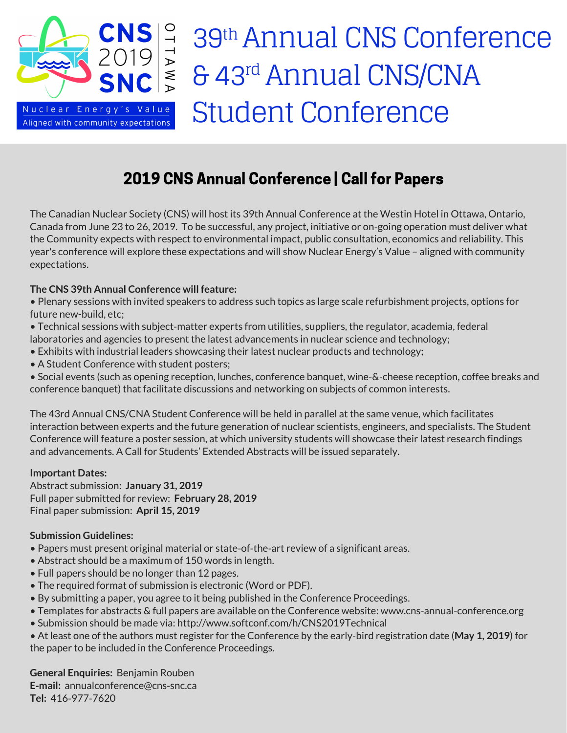

# 39<sup>th</sup> Annual CNS Conference & 43<sup>rd</sup> Annual CNS/CNA Student Conference

# 2019 CNS Annual Conference | Call for Papers

The Canadian Nuclear Society (CNS) will host its 39th Annual Conference at the Westin Hotel in Ottawa, Ontario, Canada from June 23 to 26, 2019. To be successful, any project, initiative or on-going operation must deliver what the Community expects with respect to environmental impact, public consultation, economics and reliability. This year's conference will explore these expectations and will show Nuclear Energy's Value – aligned with community expectations.

## **The CNS 39th Annual Conference will feature:**

• Plenary sessions with invited speakers to address such topics as large scale refurbishment projects, options for future new-build, etc;

- Technical sessions with subject-matter experts from utilities, suppliers, the regulator, academia, federal laboratories and agencies to present the latest advancements in nuclear science and technology;
- Exhibits with industrial leaders showcasing their latest nuclear products and technology;
- A Student Conference with student posters;

• Social events (such as opening reception, lunches, conference banquet, wine-&-cheese reception, coffee breaks and conference banquet) that facilitate discussions and networking on subjects of common interests.

The 43rd Annual CNS/CNA Student Conference will be held in parallel at the same venue, which facilitates interaction between experts and the future generation of nuclear scientists, engineers, and specialists. The Student Conference will feature a poster session, at which university students will showcase their latest research findings and advancements. A Call for Students' Extended Abstracts will be issued separately.

### **Important Dates:**

Abstract submission: **January 31, 2019** Full paper submitted for review: **February 28, 2019** Final paper submission: **April 15, 2019**

### **Submission Guidelines:**

- Papers must present original material or state‐of‐the‐art review of a significant areas.
- Abstract should be a maximum of 150 words in length.
- Full papers should be no longer than 12 pages.
- The required format of submission is electronic (Word or PDF).
- By submitting a paper, you agree to it being published in the Conference Proceedings.
- Templates for abstracts & full papers are available on the Conference website: www.cns-annual-conference.org
- Submission should be made via: http://www.softconf.com/h/CNS2019Technical
- At least one of the authors must register for the Conference by the early-bird registration date (**May 1, 2019**) for the paper to be included in the Conference Proceedings.

**General Enquiries:** Benjamin Rouben **E‐mail:** annualconference@cns‐snc.ca **Tel:** 416‐977‐7620